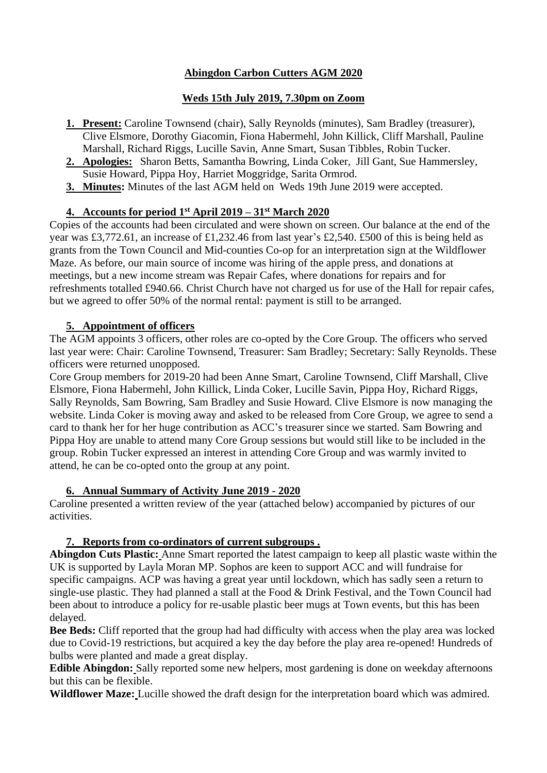# **Abingdon Carbon Cutters AGM 2020**

# **Weds 15th July 2019, 7.30pm on Zoom**

- **1. Present:** Caroline Townsend (chair), Sally Reynolds (minutes), Sam Bradley (treasurer), Clive Elsmore, Dorothy Giacomin, Fiona Habermehl, John Killick, Cliff Marshall, Pauline Marshall, Richard Riggs, Lucille Savin, Anne Smart, Susan Tibbles, Robin Tucker.
- **2. Apologies:** Sharon Betts, Samantha Bowring, Linda Coker, Jill Gant, Sue Hammersley, Susie Howard, Pippa Hoy, Harriet Moggridge, Sarita Ormrod.
- **3. Minutes:** Minutes of the last AGM held on Weds 19th June 2019 were accepted.

# **4. Accounts for period 1st April 2019 – 31st March 2020**

Copies of the accounts had been circulated and were shown on screen. Our balance at the end of the year was £3,772.61, an increase of £1,232.46 from last year's £2,540. £500 of this is being held as grants from the Town Council and Mid-counties Co-op for an interpretation sign at the Wildflower Maze. As before, our main source of income was hiring of the apple press, and donations at meetings, but a new income stream was Repair Cafes, where donations for repairs and for refreshments totalled £940.66. Christ Church have not charged us for use of the Hall for repair cafes, but we agreed to offer 50% of the normal rental: payment is still to be arranged.

# **5. Appointment of officers**

The AGM appoints 3 officers, other roles are co-opted by the Core Group. The officers who served last year were: Chair: Caroline Townsend, Treasurer: Sam Bradley; Secretary: Sally Reynolds. These officers were returned unopposed.

Core Group members for 2019-20 had been Anne Smart, Caroline Townsend, Cliff Marshall, Clive Elsmore, Fiona Habermehl, John Killick, Linda Coker, Lucille Savin, Pippa Hoy, Richard Riggs, Sally Reynolds, Sam Bowring, Sam Bradley and Susie Howard. Clive Elsmore is now managing the website. Linda Coker is moving away and asked to be released from Core Group, we agree to send a card to thank her for her huge contribution as ACC's treasurer since we started. Sam Bowring and Pippa Hoy are unable to attend many Core Group sessions but would still like to be included in the group. Robin Tucker expressed an interest in attending Core Group and was warmly invited to attend, he can be co-opted onto the group at any point.

# **6. Annual Summary of Activity June 2019 - 2020**

Caroline presented a written review of the year (attached below) accompanied by pictures of our activities.

# **7. Reports from co-ordinators of current subgroups .**

**Abingdon Cuts Plastic:** Anne Smart reported the latest campaign to keep all plastic waste within the UK is supported by Layla Moran MP. Sophos are keen to support ACC and will fundraise for specific campaigns. ACP was having a great year until lockdown, which has sadly seen a return to single-use plastic. They had planned a stall at the Food & Drink Festival, and the Town Council had been about to introduce a policy for re-usable plastic beer mugs at Town events, but this has been delayed.

**Bee Beds:** Cliff reported that the group had had difficulty with access when the play area was locked due to Covid-19 restrictions, but acquired a key the day before the play area re-opened! Hundreds of bulbs were planted and made a great display.

**Edible Abingdon:** Sally reported some new helpers, most gardening is done on weekday afternoons but this can be flexible.

**Wildflower Maze:** Lucille showed the draft design for the interpretation board which was admired.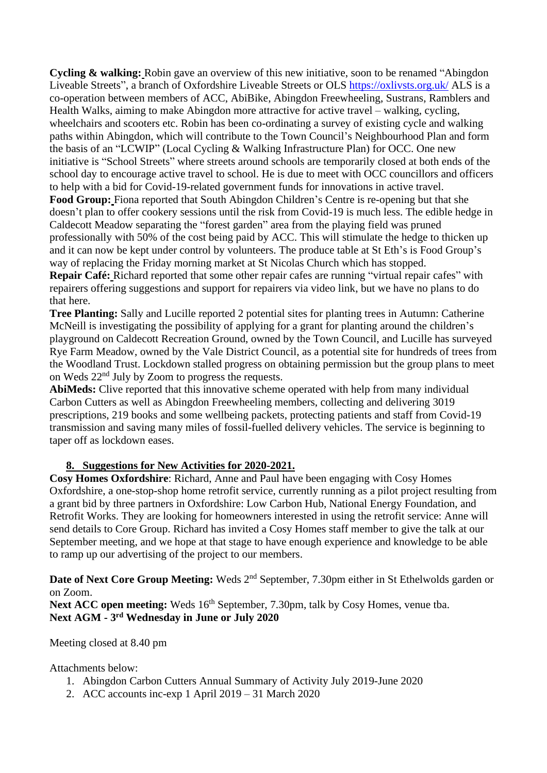**Cycling & walking:** Robin gave an overview of this new initiative, soon to be renamed "Abingdon Liveable Streets", a branch of Oxfordshire Liveable Streets or OLS<https://oxlivsts.org.uk/> ALS is a co-operation between members of ACC, AbiBike, Abingdon Freewheeling, Sustrans, Ramblers and Health Walks, aiming to make Abingdon more attractive for active travel – walking, cycling, wheelchairs and scooters etc. Robin has been co-ordinating a survey of existing cycle and walking paths within Abingdon, which will contribute to the Town Council's Neighbourhood Plan and form the basis of an "LCWIP" (Local Cycling & Walking Infrastructure Plan) for OCC. One new initiative is "School Streets" where streets around schools are temporarily closed at both ends of the school day to encourage active travel to school. He is due to meet with OCC councillors and officers to help with a bid for Covid-19-related government funds for innovations in active travel.

**Food Group:** Fiona reported that South Abingdon Children's Centre is re-opening but that she doesn't plan to offer cookery sessions until the risk from Covid-19 is much less. The edible hedge in Caldecott Meadow separating the "forest garden" area from the playing field was pruned professionally with 50% of the cost being paid by ACC. This will stimulate the hedge to thicken up and it can now be kept under control by volunteers. The produce table at St Eth's is Food Group's way of replacing the Friday morning market at St Nicolas Church which has stopped.

**Repair Café:** Richard reported that some other repair cafes are running "virtual repair cafes" with repairers offering suggestions and support for repairers via video link, but we have no plans to do that here.

**Tree Planting:** Sally and Lucille reported 2 potential sites for planting trees in Autumn: Catherine McNeill is investigating the possibility of applying for a grant for planting around the children's playground on Caldecott Recreation Ground, owned by the Town Council, and Lucille has surveyed Rye Farm Meadow, owned by the Vale District Council, as a potential site for hundreds of trees from the Woodland Trust. Lockdown stalled progress on obtaining permission but the group plans to meet on Weds 22nd July by Zoom to progress the requests.

AbiMeds: Clive reported that this innovative scheme operated with help from many individual Carbon Cutters as well as Abingdon Freewheeling members, collecting and delivering 3019 prescriptions, 219 books and some wellbeing packets, protecting patients and staff from Covid-19 transmission and saving many miles of fossil-fuelled delivery vehicles. The service is beginning to taper off as lockdown eases.

# **8. Suggestions for New Activities for 2020-2021.**

**Cosy Homes Oxfordshire**: Richard, Anne and Paul have been engaging with Cosy Homes Oxfordshire, a one-stop-shop home retrofit service, currently running as a pilot project resulting from a grant bid by three partners in Oxfordshire: Low Carbon Hub, National Energy Foundation, and Retrofit Works. They are looking for homeowners interested in using the retrofit service: Anne will send details to Core Group. Richard has invited a Cosy Homes staff member to give the talk at our September meeting, and we hope at that stage to have enough experience and knowledge to be able to ramp up our advertising of the project to our members.

Date of Next Core Group Meeting: Weds 2<sup>nd</sup> September, 7.30pm either in St Ethelwolds garden or on Zoom.

**Next ACC open meeting:** Weds  $16<sup>th</sup>$  September, 7.30pm, talk by Cosy Homes, venue tba. **Next AGM - 3 rd Wednesday in June or July 2020**

Meeting closed at 8.40 pm

Attachments below:

- 1. Abingdon Carbon Cutters Annual Summary of Activity July 2019-June 2020
- 2. ACC accounts inc-exp 1 April 2019 31 March 2020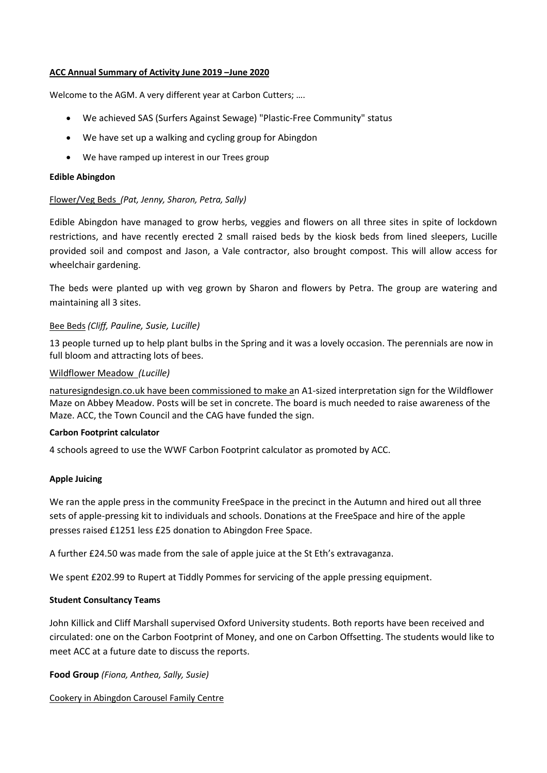#### **ACC Annual Summary of Activity June 2019 –June 2020**

Welcome to the AGM. A very different year at Carbon Cutters; ….

- We achieved SAS (Surfers Against Sewage) "Plastic-Free Community" status
- We have set up a walking and cycling group for Abingdon
- We have ramped up interest in our Trees group

#### **Edible Abingdon**

## Flower/Veg Beds *(Pat, Jenny, Sharon, Petra, Sally)*

Edible Abingdon have managed to grow herbs, veggies and flowers on all three sites in spite of lockdown restrictions, and have recently erected 2 small raised beds by the kiosk beds from lined sleepers, Lucille provided soil and compost and Jason, a Vale contractor, also brought compost. This will allow access for wheelchair gardening.

The beds were planted up with veg grown by Sharon and flowers by Petra. The group are watering and maintaining all 3 sites.

# Bee Beds *(Cliff, Pauline, Susie, Lucille)*

13 people turned up to help plant bulbs in the Spring and it was a lovely occasion. The perennials are now in full bloom and attracting lots of bees.

## Wildflower Meadow *(Lucille)*

[naturesigndesign.co.uk](https://www.naturesigndesign.co.uk/) have been commissioned to make an A1-sized interpretation sign for the Wildflower Maze on Abbey Meadow. Posts will be set in concrete. The board is much needed to raise awareness of the Maze. ACC, the Town Council and the CAG have funded the sign.

## **Carbon Footprint calculator**

4 schools agreed to use the WWF Carbon Footprint calculator as promoted by ACC.

## **Apple Juicing**

We ran the apple press in the community FreeSpace in the precinct in the Autumn and hired out all three sets of apple-pressing kit to individuals and schools. Donations at the FreeSpace and hire of the apple presses raised £1251 less £25 donation to Abingdon Free Space.

A further £24.50 was made from the sale of apple juice at the St Eth's extravaganza.

We spent £202.99 to Rupert at Tiddly Pommes for servicing of the apple pressing equipment.

## **Student Consultancy Teams**

John Killick and Cliff Marshall supervised Oxford University students. Both reports have been received and circulated: one on the Carbon Footprint of Money, and one on Carbon Offsetting. The students would like to meet ACC at a future date to discuss the reports.

**Food Group** *(Fiona, Anthea, Sally, Susie)*

Cookery in Abingdon Carousel Family Centre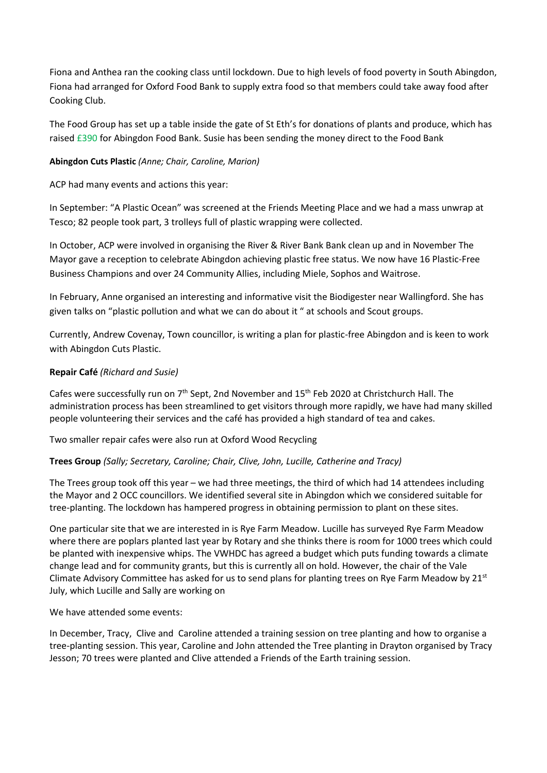Fiona and Anthea ran the cooking class until lockdown. Due to high levels of food poverty in South Abingdon, Fiona had arranged for Oxford Food Bank to supply extra food so that members could take away food after Cooking Club.

The Food Group has set up a table inside the gate of St Eth's for donations of plants and produce, which has raised £390 for Abingdon Food Bank. Susie has been sending the money direct to the Food Bank

# **Abingdon Cuts Plastic** *(Anne; Chair, Caroline, Marion)*

ACP had many events and actions this year:

In September: "A Plastic Ocean" was screened at the Friends Meeting Place and we had a mass unwrap at Tesco; 82 people took part, 3 trolleys full of plastic wrapping were collected.

In October, ACP were involved in organising the River & River Bank Bank clean up and in November The Mayor gave a reception to celebrate Abingdon achieving plastic free status. We now have 16 Plastic-Free Business Champions and over 24 Community Allies, including Miele, Sophos and Waitrose.

In February, Anne organised an interesting and informative visit the Biodigester near Wallingford. She has given talks on "plastic pollution and what we can do about it " at schools and Scout groups.

Currently, Andrew Covenay, Town councillor, is writing a plan for plastic-free Abingdon and is keen to work with Abingdon Cuts Plastic.

# **Repair Café** *(Richard and Susie)*

Cafes were successfully run on 7<sup>th</sup> Sept, 2nd November and 15<sup>th</sup> Feb 2020 at Christchurch Hall. The administration process has been streamlined to get visitors through more rapidly, we have had many skilled people volunteering their services and the café has provided a high standard of tea and cakes.

Two smaller repair cafes were also run at Oxford Wood Recycling

## **Trees Group** *(Sally; Secretary, Caroline; Chair, Clive, John, Lucille, Catherine and Tracy)*

The Trees group took off this year – we had three meetings, the third of which had 14 attendees including the Mayor and 2 OCC councillors. We identified several site in Abingdon which we considered suitable for tree-planting. The lockdown has hampered progress in obtaining permission to plant on these sites.

One particular site that we are interested in is Rye Farm Meadow. Lucille has surveyed Rye Farm Meadow where there are poplars planted last year by Rotary and she thinks there is room for 1000 trees which could be planted with inexpensive whips. The VWHDC has agreed a budget which puts funding towards a climate change lead and for community grants, but this is currently all on hold. However, the chair of the Vale Climate Advisory Committee has asked for us to send plans for planting trees on Rye Farm Meadow by 21<sup>st</sup> July, which Lucille and Sally are working on

We have attended some events:

In December, Tracy, Clive and Caroline attended a training session on tree planting and how to organise a tree-planting session. This year, Caroline and John attended the Tree planting in Drayton organised by Tracy Jesson; 70 trees were planted and Clive attended a Friends of the Earth training session.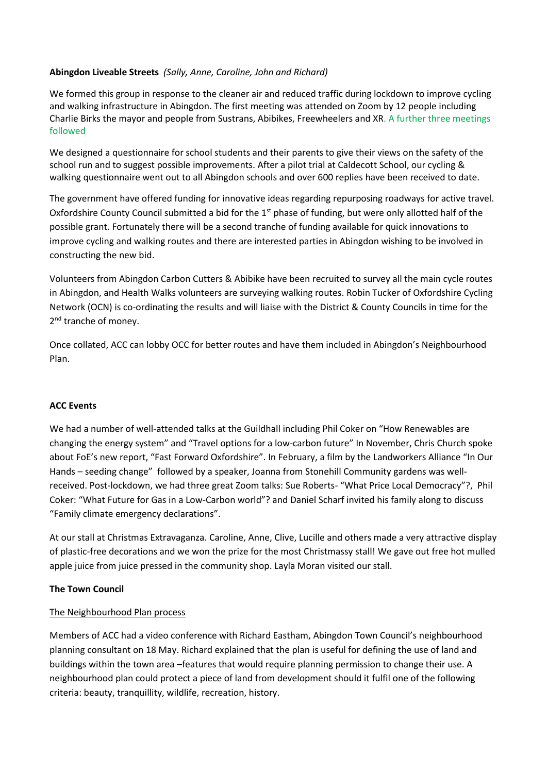# **Abingdon Liveable Streets** *(Sally, Anne, Caroline, John and Richard)*

We formed this group in response to the cleaner air and reduced traffic during lockdown to improve cycling and walking infrastructure in Abingdon. The first meeting was attended on Zoom by 12 people including Charlie Birks the mayor and people from Sustrans, Abibikes, Freewheelers and XR. A further three meetings followed

We designed a questionnaire for school students and their parents to give their views on the safety of the school run and to suggest possible improvements. After a pilot trial at Caldecott School, our cycling & walking questionnaire went out to all Abingdon schools and over 600 replies have been received to date.

The government have offered funding for innovative ideas regarding repurposing roadways for active travel. Oxfordshire County Council submitted a bid for the  $1<sup>st</sup>$  phase of funding, but were only allotted half of the possible grant. Fortunately there will be a second tranche of funding available for quick innovations to improve cycling and walking routes and there are interested parties in Abingdon wishing to be involved in constructing the new bid.

Volunteers from Abingdon Carbon Cutters & Abibike have been recruited to survey all the main cycle routes in Abingdon, and Health Walks volunteers are surveying walking routes. Robin Tucker of Oxfordshire Cycling Network (OCN) is co-ordinating the results and will liaise with the District & County Councils in time for the 2<sup>nd</sup> tranche of money.

Once collated, ACC can lobby OCC for better routes and have them included in Abingdon's Neighbourhood Plan.

## **ACC Events**

We had a number of well-attended talks at the Guildhall including Phil Coker on "How Renewables are changing the energy system" and "Travel options for a low-carbon future" In November, Chris Church spoke about FoE's new report, "Fast Forward Oxfordshire". In February, a film by the Landworkers Alliance "In Our Hands – seeding change" followed by a speaker, Joanna from Stonehill Community gardens was wellreceived. Post-lockdown, we had three great Zoom talks: Sue Roberts- "What Price Local Democracy"?, Phil Coker: "What Future for Gas in a Low-Carbon world"? and Daniel Scharf invited his family along to discuss "Family climate emergency declarations".

At our stall at Christmas Extravaganza. Caroline, Anne, Clive, Lucille and others made a very attractive display of plastic-free decorations and we won the prize for the most Christmassy stall! We gave out free hot mulled apple juice from juice pressed in the community shop. Layla Moran visited our stall.

## **The Town Council**

## The Neighbourhood Plan process

Members of ACC had a video conference with Richard Eastham, Abingdon Town Council's neighbourhood planning consultant on 18 May. Richard explained that the plan is useful for defining the use of land and buildings within the town area –features that would require planning permission to change their use. A neighbourhood plan could protect a piece of land from development should it fulfil one of the following criteria: beauty, tranquillity, wildlife, recreation, history.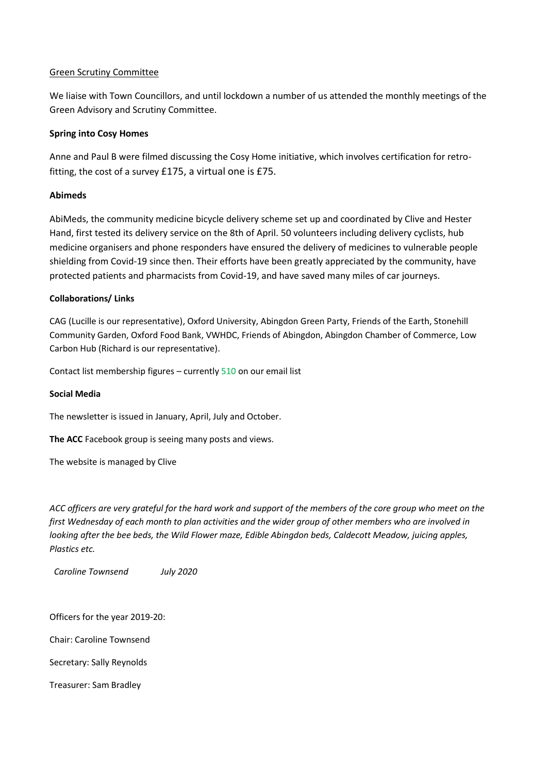## Green Scrutiny Committee

We liaise with Town Councillors, and until lockdown a number of us attended the monthly meetings of the Green Advisory and Scrutiny Committee.

# **Spring into Cosy Homes**

Anne and Paul B were filmed discussing the Cosy Home initiative, which involves certification for retrofitting, the cost of a survey £175, a virtual one is £75.

# **Abimeds**

AbiMeds, the community medicine bicycle delivery scheme set up and coordinated by Clive and Hester Hand, first tested its delivery service on the 8th of April. 50 volunteers including delivery cyclists, hub medicine organisers and phone responders have ensured the delivery of medicines to vulnerable people shielding from Covid-19 since then. Their efforts have been greatly appreciated by the community, have protected patients and pharmacists from Covid-19, and have saved many miles of car journeys.

# **Collaborations/ Links**

CAG (Lucille is our representative), Oxford University, Abingdon Green Party, Friends of the Earth, Stonehill Community Garden, Oxford Food Bank, VWHDC, Friends of Abingdon, Abingdon Chamber of Commerce, Low Carbon Hub (Richard is our representative).

Contact list membership figures – currently 510 on our email list

## **Social Media**

The newsletter is issued in January, April, July and October.

**The ACC** Facebook group is seeing many posts and views.

The website is managed by Clive

*ACC officers are very grateful for the hard work and support of the members of the core group who meet on the first Wednesday of each month to plan activities and the wider group of other members who are involved in looking after the bee beds, the Wild Flower maze, Edible Abingdon beds, Caldecott Meadow, juicing apples, Plastics etc.* 

 *Caroline Townsend July 2020*

Officers for the year 2019-20:

Chair: Caroline Townsend

Secretary: Sally Reynolds

Treasurer: Sam Bradley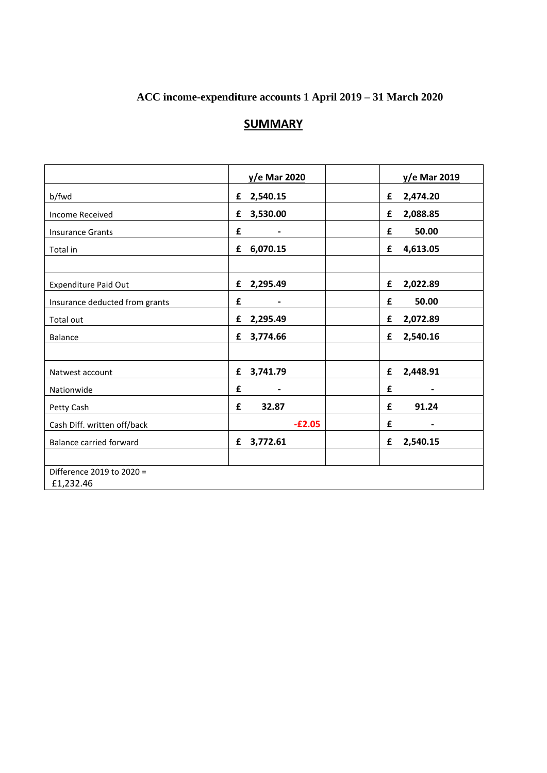# **ACC income-expenditure accounts 1 April 2019 – 31 March 2020**

# **SUMMARY**

|                                | y/e Mar 2020  | y/e Mar 2019                      |
|--------------------------------|---------------|-----------------------------------|
| b/fwd                          | 2,540.15<br>£ | 2,474.20<br>£                     |
| <b>Income Received</b>         | 3,530.00<br>£ | 2,088.85<br>£                     |
| <b>Insurance Grants</b>        | £             | 50.00<br>£                        |
| Total in                       | 6,070.15<br>£ | 4,613.05<br>£                     |
|                                |               |                                   |
| <b>Expenditure Paid Out</b>    | 2,295.49<br>£ | 2,022.89<br>£                     |
| Insurance deducted from grants | £             | 50.00<br>£                        |
| Total out                      | 2,295.49<br>£ | 2,072.89<br>£                     |
| <b>Balance</b>                 | 3,774.66<br>£ | 2,540.16<br>£                     |
|                                |               |                                   |
| Natwest account                | 3,741.79<br>£ | 2,448.91<br>£                     |
| Nationwide                     | £<br>-        | £<br>$\qquad \qquad \blacksquare$ |
| Petty Cash                     | 32.87<br>£    | 91.24<br>£                        |
| Cash Diff. written off/back    | $-E2.05$      | £<br>$\qquad \qquad \blacksquare$ |
| <b>Balance carried forward</b> | 3,772.61<br>£ | 2,540.15<br>£                     |
|                                |               |                                   |
| Difference 2019 to 2020 =      |               |                                   |
| £1,232.46                      |               |                                   |